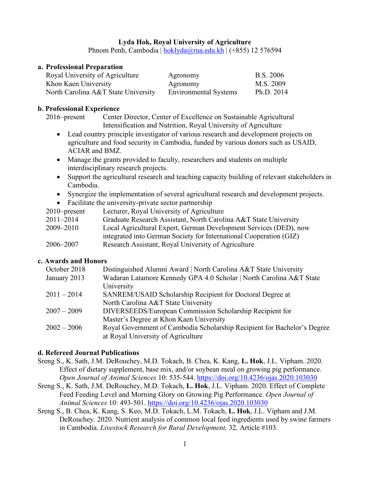### **Lyda Hok, Royal University of Agriculture**

Phnom Penh, Cambodia | [hoklyda@rua.edu.kh](mailto:hoklyda@rua.edu.kh) | (+855) 12 576594

### **a. Professional Preparation**

| Royal University of Agriculture     | Agronomy                     | <b>B.S.</b> 2006 |
|-------------------------------------|------------------------------|------------------|
| Khon Kaen University                | Agronomy                     | M.S. 2009        |
| North Carolina A&T State University | <b>Environmental Systems</b> | Ph.D. 2014       |

## **b. Professional Experience**

2016–present Center Director, Center of Excellence on Sustainable Agricultural Intensification and Nutrition, Royal University of Agriculture

- Lead country principle investigator of various research and development projects on agriculture and food security in Cambodia, funded by various donors such as USAID, ACIAR and BMZ.
- Manage the grants provided to faculty, researchers and students on multiple interdisciplinary research projects.
- Support the agricultural research and teaching capacity building of relevant stakeholders in Cambodia.
- Synergize the implementation of several agricultural research and development projects.
- Facilitate the university-private sector partnership

| $2010$ -present | Lecturer, Royal University of Agriculture                          |
|-----------------|--------------------------------------------------------------------|
| 2011–2014       | Graduate Research Assistant, North Carolina A&T State University   |
| 2009–2010       | Local Agricultural Expert, German Development Services (DED), now  |
|                 | integrated into German Society for International Cooperation (GIZ) |
| 2006–2007       | Research Assistant, Royal University of Agriculture                |

# **c. Awards and Honors**

| October 2018  | Distinguished Alumni Award   North Carolina A&T State University         |
|---------------|--------------------------------------------------------------------------|
| January 2013  | Wadaran Latamore Kennedy GPA 4.0 Scholar   North Carolina A&T State      |
|               | University                                                               |
| $2011 - 2014$ | SANREM/USAID Scholarship Recipient for Doctoral Degree at                |
|               | North Carolina A&T State University                                      |
| $2007 - 2009$ | DIVERSEEDS/European Commission Scholarship Recipient for                 |
|               | Master's Degree at Khon Kaen University                                  |
| $2002 - 2006$ | Royal Government of Cambodia Scholarship Recipient for Bachelor's Degree |
|               | at Royal University of Agriculture                                       |

## **d. Refereed Journal Publications**

- Sreng S., K. Sath, J.M. DeRouchey, M.D. Tokach, B. Chea, K. Kang, **L. Hok**, J.L. Vipham. 2020. Effect of dietary supplement, base mix, and/or soybean meal on growing pig performance. *Open Journal of Animal Sciences* 10: 535-544. https://doi.org[/10.4236/ojas.2020.103030](https://doi.org/10.4236/ojas.2020.103030)
- Sreng S., K. Sath, J.M. DeRouchey, M.D. Tokach, **L. Hok**, J.L. Vipham. 2020. Effect of Complete Feed Feeding Level and Morning Glory on Growing Pig Performance. *Open Journal of Animal Sciences* 10: 493-501. https://doi.org[/10.4236/ojas.2020.103030](https://doi.org/10.4236/ojas.2020.103030)
- Sreng S., B. Chea, K. Kang, S. Keo, M.D. Tokach, L.M. Tokach, **L. Hok**, J.L. Vipham and J.M. DeRouchey. 2020. Nutrient analysis of common local feed ingredients used by swine farmers in Cambodia. *Livestock Research for Rural Development,* 32*,* Article #103*.*